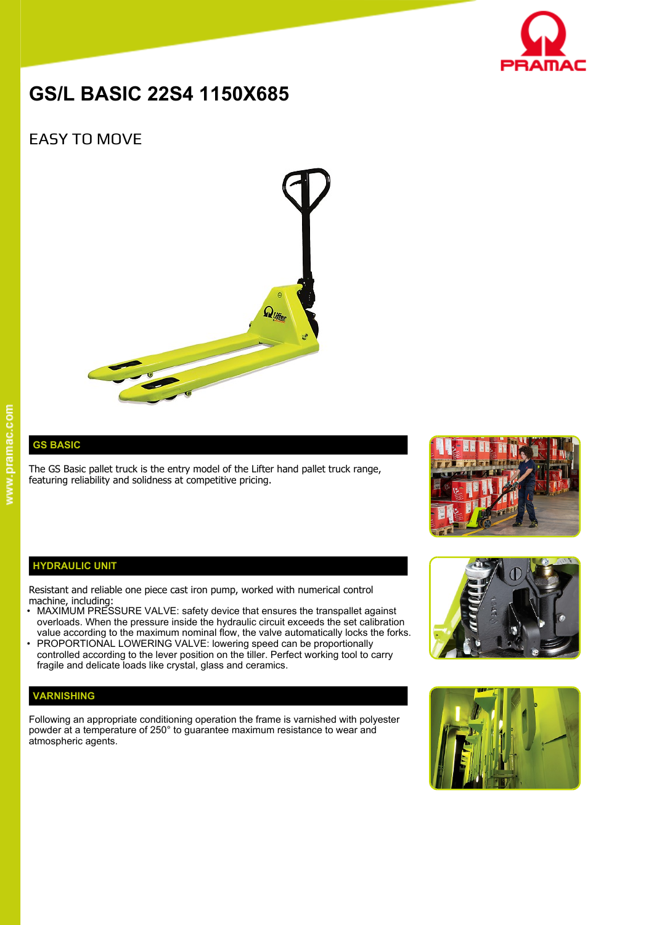

# **GS/L BASIC 22S4 1150X685**

## EASY TO MOVE



**GS BASIC**

The GS Basic pallet truck is the entry model of the Lifter hand pallet truck range, featuring reliability and solidness at competitive pricing.



### **HYDRAULIC UNIT**

Resistant and reliable one piece cast iron pump, worked with numerical control machine, including:

- MAXIMUM PRESSURE VALVE: safety device that ensures the transpallet against overloads. When the pressure inside the hydraulic circuit exceeds the set calibration value according to the maximum nominal flow, the valve automatically locks the forks.
- PROPORTIONAL LOWERING VALVE: lowering speed can be proportionally controlled according to the lever position on the tiller. Perfect working tool to carry fragile and delicate loads like crystal, glass and ceramics.

## **VARNISHING**

Following an appropriate conditioning operation the frame is varnished with polyester powder at a temperature of 250° to guarantee maximum resistance to wear and atmospheric agents.



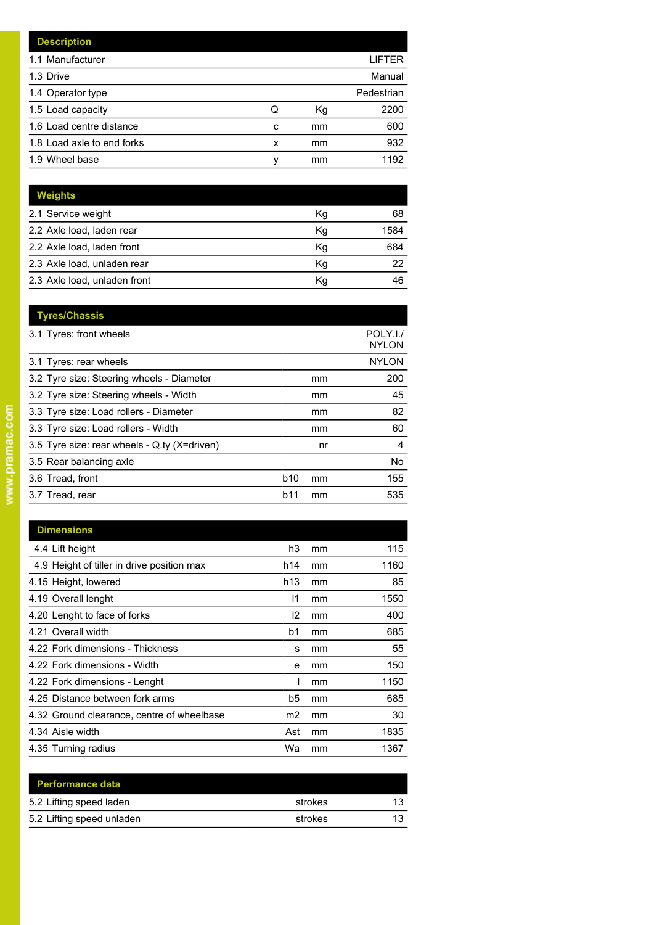|   |    | LIFTER     |
|---|----|------------|
|   |    | Manual     |
|   |    | Pedestrian |
| Q | Кg | 2200       |
| C | mm | 600        |
| x | mm | 932        |
| ν | mm | 1192       |
|   |    |            |

| <b>Weights</b>               |    |      |
|------------------------------|----|------|
| 2.1 Service weight           | Κq | 68   |
| 2.2 Axle load, laden rear    | Kg | 1584 |
| 2.2 Axle load, laden front   | Kg | 684  |
| 2.3 Axle load, unladen rear  | Kg | 22   |
| 2.3 Axle load, unladen front | Κq | 46   |

|     |    | POLY.I./<br><b>NYLON</b> |
|-----|----|--------------------------|
|     |    | <b>NYLON</b>             |
|     | mm | 200                      |
|     | mm | 45                       |
|     | mm | 82                       |
|     | mm | 60                       |
|     | nr | 4                        |
|     |    | No                       |
| b10 | mm | 155                      |
| b11 | mm | 535                      |
|     |    |                          |

| <b>Dimensions</b>                          |                 |    |      |
|--------------------------------------------|-----------------|----|------|
| 4.4 Lift height                            | h3              | mm | 115  |
| 4.9 Height of tiller in drive position max | h14             | mm | 1160 |
| 4.15 Height, lowered                       | h <sub>13</sub> | mm | 85   |
| 4.19 Overall lenght                        | 11              | mm | 1550 |
| 4.20 Lenght to face of forks               | 12              | mm | 400  |
| 4.21 Overall width                         | b1              | mm | 685  |
| 4.22 Fork dimensions - Thickness           | s               | mm | 55   |
| 4.22 Fork dimensions - Width               | e               | mm | 150  |
| 4.22 Fork dimensions - Lenght              |                 | mm | 1150 |
| 4.25 Distance between fork arms            | b5              | mm | 685  |
| 4.32 Ground clearance, centre of wheelbase | m2              | mm | 30   |
| 4.34 Aisle width                           | Ast             | mm | 1835 |
| 4.35 Turning radius                        | Wa              | mm | 1367 |

| strokes | 13 |
|---------|----|
| strokes |    |
|         |    |